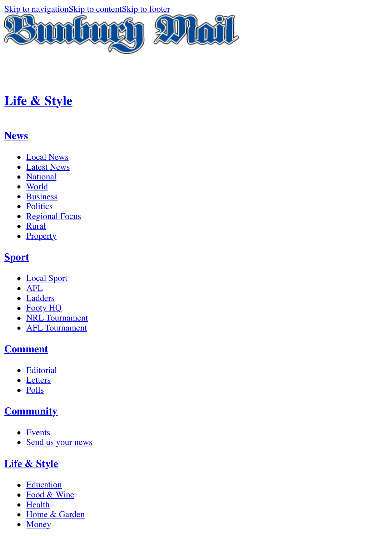[Skip to navigation](#page-0-0)[Skip to content](http://www.bunburymail.com.au/story/3127752/top-10-most-creative-holiday-lessons/?cs=34#content)[Skip to footer](http://www.bunburymail.com.au/story/3127752/top-10-most-creative-holiday-lessons/?cs=34#footer)



# **[Life & Style](http://www.bunburymail.com.au/life-style/)**

### <span id="page-0-0"></span>**[News](http://www.bunburymail.com.au/news/)**

- [Local News](http://www.bunburymail.com.au/news/local-news/)
- [Latest News](http://www.bunburymail.com.au/news/latest-news/)
- [National](http://www.bunburymail.com.au/news/national/)
- [World](http://www.bunburymail.com.au/news/world/)
- · [Business](http://www.bunburymail.com.au/news/business/)
- [Politics](http://www.bunburymail.com.au/news/politics/)
- [Regional Focus](http://www.bunburymail.com.au/news/regional-focus/)
- [Rural](http://www.bunburymail.com.au/news/rural/)
- **[Property](http://www.bunburymail.com.au/news/property/)**

## **[Sport](http://www.bunburymail.com.au/sport/)**

- [Local Sport](http://www.bunburymail.com.au/sport/local-sport/)
- [AFL](http://www.bunburymail.com.au/sport/afl/)
- [Ladders](http://www.bunburymail.com.au/sport/ladders/)
- [Footy HQ](http://www.bunburymail.com.au/sport/footy-hq/)
- [NRL Tournament](http://www.bunburymail.com.au/sport/nrl-tournament/)
- [AFL Tournament](http://www.bunburymail.com.au/sport/afl-tournament/)

## **[Comment](http://www.bunburymail.com.au/opinion/)**

- [Editorial](http://www.bunburymail.com.au/opinion/editorial/)
- [Letters](http://www.bunburymail.com.au/opinion/letters/)
- [Polls](http://www.bunburymail.com.au/opinion/polls/)

## **[Community](http://www.bunburymail.com.au/community/)**

- [Events](http://www.bunburymail.com.au/community/events/)
- [Send us your news](http://www.bunburymail.com.au/community/forms/)

## **[Life & Style](http://www.bunburymail.com.au/life-style/)**

- [Education](http://www.bunburymail.com.au/life-style/education/)
- [Food & Wine](http://www.bunburymail.com.au/life-style/food-wine/)
- [Health](http://www.bunburymail.com.au/life-style/health/)
- [Home & Garden](http://www.bunburymail.com.au/life-style/home-garden/)
- [Money](http://www.bunburymail.com.au/life-style/money/)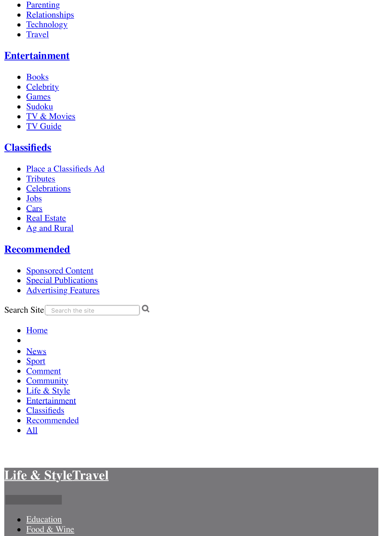- [Parenting](http://www.bunburymail.com.au/life-style/parenting/)
- [Relationships](http://www.bunburymail.com.au/life-style/relationships/)
- **[Technology](http://www.bunburymail.com.au/life-style/technology/)**  $\bullet$
- **[Travel](http://www.bunburymail.com.au/life-style/travel/)**  $\bullet$

### **[Entertainment](http://www.bunburymail.com.au/entertainment/)**

- [Books](http://www.bunburymail.com.au/entertainment/books/)
- [Celebrity](http://www.bunburymail.com.au/entertainment/celebrity/)
- [Games](http://www.bunburymail.com.au/entertainment/games/)
- [Sudoku](http://www.bunburymail.com.au/entertainment/sudoku/)
- [TV & Movies](http://www.bunburymail.com.au/entertainment/tv-movies/)
- [TV Guide](http://www.bunburymail.com.au/entertainment/tv-guide/)

## **[Classifieds](http://www.bunburymail.com.au/classifieds/notices/)**

- [Place a Classifieds Ad](https://advertisers.com.au/?pub=BY)
- **[Tributes](http://tributes.bunburymail.com.au/obituaries/bunburymail-au)**  $\bullet$
- [Celebrations](http://www.legacy.com/celebration/bunburymail-au/)
- [Jobs](http://www.bunburymail.com.au/jobs/)  $\bullet$
- [Cars](http://www.countrycars.com.au/)
- [Real Estate](http://www.domain.com.au/sale/bunbury-wa-6230/)
- [Ag and Rural](https://www.agtrader.com.au/search/wa--southern?utm_source=bunburymail.com.au&utm_medium=classifieds&utm_campaign=regionals)

## **[Recommended](http://www.bunburymail.com.au/business-feature/)**

- [Sponsored Content](http://www.bunburymail.com.au/recommended/)
- [Special Publications](http://www.bunburymail.com.au/special-publications/)
- **[Advertising Features](http://www.bunburymail.com.au/advertising-feature/)**

Search Site Search the site  $\overline{Q}$ 

- **[Home](http://www.bunburymail.com.au/)**  $\bullet$
- $\bullet$
- [News](http://www.bunburymail.com.au/news/)
- [Sport](http://www.bunburymail.com.au/sport/)
- [Comment](http://www.bunburymail.com.au/opinion/)
- [Community](http://www.bunburymail.com.au/community/)
- [Life & Style](http://www.bunburymail.com.au/life-style/)
- [Entertainment](http://www.bunburymail.com.au/entertainment/)
- **[Classifieds](http://www.bunburymail.com.au/classifieds/notices/)**
- [Recommended](http://www.bunburymail.com.au/business-feature/)
- $\bullet$  [All](http://www.bunburymail.com.au/story/3127752/top-10-most-creative-holiday-lessons/?cs=34#)

# **[Life & Style](http://www.bunburymail.com.au/life-style/)[Travel](http://www.bunburymail.com.au/life-style/travel/)**

- **[Education](http://www.bunburymail.com.au/life-style/education/)**  $\bullet$
- [Food & Wine](http://www.bunburymail.com.au/life-style/food-wine/)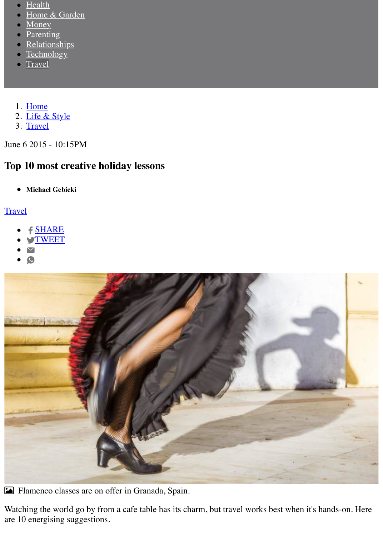- **[Health](http://www.bunburymail.com.au/life-style/health/)**
- [Home & Garden](http://www.bunburymail.com.au/life-style/home-garden/)
- [Money](http://www.bunburymail.com.au/life-style/money/)<sub>1</sub>
- **[Parenting](http://www.bunburymail.com.au/life-style/parenting/)**
- [Relationships](http://www.bunburymail.com.au/life-style/relationships/)
- **[Technology](http://www.bunburymail.com.au/life-style/technology/)**  $\bullet$
- **[Travel](http://www.bunburymail.com.au/life-style/travel/)**
- 1. [Home](http://www.bunburymail.com.au/)
- 2. [Life & Style](http://www.bunburymail.com.au/life-style/)
- 3. [Travel](http://www.bunburymail.com.au/life-style/travel/)

June 6 2015 - 10:15PM

## **Top 10 most creative holiday lessons**

**Michael Gebicki**  $\bullet$ 

#### **[Travel](http://www.bunburymail.com.au/life-style/travel/)**

- **f [SHARE](https://www.facebook.com/sharer/sharer.php?u=http://www.bunburymail.com.au/story/3127752/top-10-most-creative-holiday-lessons/?cs=34)**
- **S[TWEET](http://twitter.com/share?url=http://www.bunburymail.com.au/story/3127752/top-10-most-creative-holiday-lessons/?cs=34&text=Top%2010%20most%20creative%20holiday%20lessons&via=BunburyMail)**
- 
- $\mathbf{C}$



! Flamenco classes are on offer in Granada, Spain.

Watching the world go by from a cafe table has its charm, but travel works best when it's hands-on. Here are 10 energising suggestions.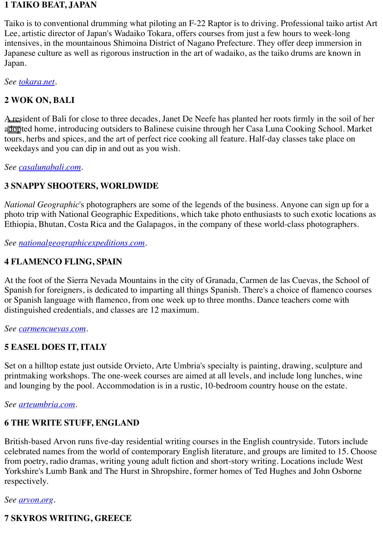#### **1 TAIKO BEAT, JAPAN**

Taiko is to conventional drumming what piloting an F-22 Raptor is to driving. Professional taiko artist Art Lee, artistic director of Japan's Wadaiko Tokara, offers courses from just a few hours to week-long intensives, in the mountainous Shimoina District of Nagano Prefecture. They offer deep immersion in Japanese culture as well as rigorous instruction in the art of wadaiko, as the taiko drums are known in Japan.

*See [tokara.net.](http://tokara.net/)*

#### **2 WOK ON, BALI**

A resident of Bali for close to three decades, Janet De Neefe has planted her roots firmly in the soil of her adopted home, introducing outsiders to Balinese cuisine through her Casa Luna Cooking School. Market tours, herbs and spices, and the art of perfect rice cooking all feature. Half-day classes take place on weekdays and you can dip in and out as you wish.

*See [casalunabali.com.](http://casalunabali.com/)*

#### **3 SNAPPY SHOOTERS, WORLDWIDE**

*National Geographic*'s photographers are some of the legends of the business. Anyone can sign up for a photo trip with National Geographic Expeditions, which take photo enthusiasts to such exotic locations as Ethiopia, Bhutan, Costa Rica and the Galapagos, in the company of these world-class photographers.

*See [nationalgeographicexpeditions.com.](http://nationalgeographicexpeditions.com/)*

#### **4 FLAMENCO FLING, SPAIN**

At the foot of the Sierra Nevada Mountains in the city of Granada, Carmen de las Cuevas, the School of Spanish for foreigners, is dedicated to imparting all things Spanish. There's a choice of flamenco courses or Spanish language with flamenco, from one week up to three months. Dance teachers come with distinguished credentials, and classes are 12 maximum.

*See [carmencuevas.com](http://carmencuevas.com/).*

#### **5 EASEL DOES IT, ITALY**

Set on a hilltop estate just outside Orvieto, Arte Umbria's specialty is painting, drawing, sculpture and printmaking workshops. The one-week courses are aimed at all levels, and include long lunches, wine and lounging by the pool. Accommodation is in a rustic, 10-bedroom country house on the estate.

*See [arteumbria.com.](http://arteumbria.com/)*

#### **6 THE WRITE STUFF, ENGLAND**

British-based Arvon runs five-day residential writing courses in the English countryside. Tutors include celebrated names from the world of contemporary English literature, and groups are limited to 15. Choose from poetry, radio dramas, writing young adult fiction and short-story writing. Locations include West Yorkshire's Lumb Bank and The Hurst in Shropshire, former homes of Ted Hughes and John Osborne respectively.

*See [arvon.org](http://arvon.org/).*

#### **7 SKYROS WRITING, GREECE**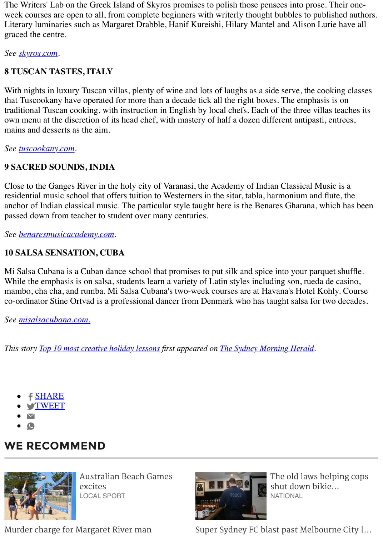The Writers' Lab on the Greek Island of Skyros promises to polish those pensees into prose. Their oneweek courses are open to all, from complete beginners with writerly thought bubbles to published authors. Literary luminaries such as Margaret Drabble, Hanif Kureishi, Hilary Mantel and Alison Lurie have all graced the centre.

*See [skyros.com](http://skyros.com/).*

### **8 TUSCAN TASTES, ITALY**

With nights in luxury Tuscan villas, plenty of wine and lots of laughs as a side serve, the cooking classes that Tuscookany have operated for more than a decade tick all the right boxes. The emphasis is on traditional Tuscan cooking, with instruction in English by local chefs. Each of the three villas teaches its own menu at the discretion of its head chef, with mastery of half a dozen different antipasti, entrees, mains and desserts as the aim.

*See [tuscookany.com.](http://tuscookany.com/)*

### **9 SACRED SOUNDS, INDIA**

Close to the Ganges River in the holy city of Varanasi, the Academy of Indian Classical Music is a residential music school that offers tuition to Westerners in the sitar, tabla, harmonium and flute, the anchor of Indian classical music. The particular style taught here is the Benares Gharana, which has been passed down from teacher to student over many centuries.

*See [benaresmusicacademy.com](http://benaresmusicacademy.com/).*

### **10 SALSA SENSATION, CUBA**

Mi Salsa Cubana is a Cuban dance school that promises to put silk and spice into your parquet shuffle. While the emphasis is on salsa, students learn a variety of Latin styles including son, rueda de casino, mambo, cha cha, and rumba. Mi Salsa Cubana's two-week courses are at Havana's Hotel Kohly. Course co-ordinator Stine Ortvad is a professional dancer from Denmark who has taught salsa for two decades.

*See [misalsacubana.com.](http://misalsacubana.com./)*

*This story [Top 10 most creative holiday lessons](http://www.smh.com.au/travel/top-10-most-creative-holiday-lessons-20150601-gh6brb.html) first appeared on [The Sydney Morning Herald](http://www.smh.com.au/).*

- [SHARE](https://www.facebook.com/sharer/sharer.php?u=http://www.bunburymail.com.au/story/3127752/top-10-most-creative-holiday-lessons/?cs=34)
- **S[TWEET](http://twitter.com/share?url=http://www.bunburymail.com.au/story/3127752/top-10-most-creative-holiday-lessons/?cs=34&text=Top%2010%20most%20creative%20holiday%20lessons&via=BunburyMail)**
- $\blacktriangledown$
- $\bullet$

## **WE RECOMMEND**



[Australian Beach Games](http://www.bunburymail.com.au/story/5221180/australian-beach-games-excites/?cs=280) excites LOCAL SPORT



[The old laws helping cops](http://www.bunburymail.com.au/story/5220760/the-old-laws-helping-cops-shut-down-bikie-clubhouses-in-nsw/?cs=7) shut down bikie... NATIONAL

[Murder charge for Margaret River man](http://www.bunburymail.com.au/story/5220151/murder-charge-for-margaret-river-man/?cs=279) [Super Sydney FC blast past Melbourne City |...](http://www.bunburymail.com.au/story/5220730/super-sydney-fc-blast-past-melbourne-city-gallery/?cs=7)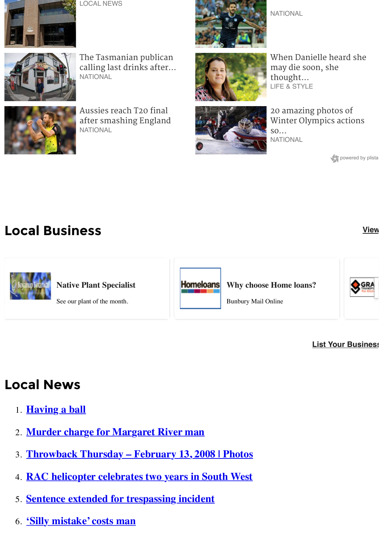

[LOCAL NEWS](http://www.bunburymail.com.au/story/5220151/murder-charge-for-margaret-river-man/?cs=279)



The Tasmanian publican [calling last drinks after...](http://www.bunburymail.com.au/story/5220832/the-tasmanian-publican-calling-last-drinks-after-41-years/?cs=7) **NATIONAL** 



Aussies reach T20 final [after smashing England](http://www.bunburymail.com.au/story/5220732/aussies-reach-t20-final-after-smashing-england/?cs=7) **NATIONAL** 



[When Danielle heard she](http://www.bunburymail.com.au/story/5215875/when-danielle-heard-she-may-die-soon-she-thought-of-her-daughter/?cs=24) may die soon, she thought... LIFE & STYLE



20 amazing photos of [Winter Olympics actions](http://www.bunburymail.com.au/story/5220691/20-amazing-photos-of-winter-olympics-actions-so-far/?cs=7) so... **NATIONAL** 

powered by plista

# **Local Business [View](http://www.bunburymail.com.au/business/)**



#### **[List Your Business](http://www.bunburymail.com.au/advertise/)**

# **Local News**

- 1. **[Having a ball](http://www.bunburymail.com.au/story/5221182/having-a-ball/?cs=279)**
- 2. **[Murder charge for Margaret River man](http://www.bunburymail.com.au/story/5220151/murder-charge-for-margaret-river-man/?cs=279)**
- 3. **[Throwback Thursday February 13, 2008 | Photos](http://www.bunburymail.com.au/story/5218239/throwback-thursday-february-13-2008-photos/?cs=279)**
- 4. **[RAC helicopter celebrates two years in South West](http://www.bunburymail.com.au/story/5217046/rac-helicopter-celebrates-two-years-in-south-west/?cs=279)**
- 5. **[Sentence extended for trespassing incident](http://www.bunburymail.com.au/story/5215886/sentence-extended-for-trespassing-incident/?cs=279)**
- 6. **['Silly mistake' costs man](http://www.bunburymail.com.au/story/5215885/silly-mistake-costs-man/?cs=279)**